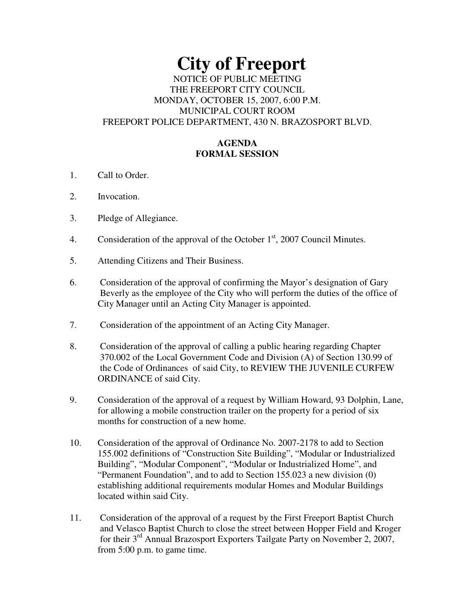# **City of Freeport** NOTICE OF PUBLIC MEETING THE FREEPORT CITY COUNCIL MONDAY, OCTOBER 15, 2007, 6:00 P.M. MUNICIPAL COURT ROOM FREEPORT POLICE DEPARTMENT, 430 N. BRAZOSPORT BLVD.

## **AGENDA FORMAL SESSION**

- 1. Call to Order.
- 2. Invocation.
- 3. Pledge of Allegiance.
- 4. Consideration of the approval of the October 1<sup>st</sup>, 2007 Council Minutes.
- 5. Attending Citizens and Their Business.
- 6. Consideration of the approval of confirming the Mayor's designation of Gary Beverly as the employee of the City who will perform the duties of the office of City Manager until an Acting City Manager is appointed.
- 7. Consideration of the appointment of an Acting City Manager.
- 8. Consideration of the approval of calling a public hearing regarding Chapter 370.002 of the Local Government Code and Division (A) of Section 130.99 of the Code of Ordinances of said City, to REVIEW THE JUVENILE CURFEW ORDINANCE of said City.
- 9. Consideration of the approval of a request by William Howard, 93 Dolphin, Lane, for allowing a mobile construction trailer on the property for a period of six months for construction of a new home.
- 10. Consideration of the approval of Ordinance No. 2007-2178 to add to Section 155.002 definitions of "Construction Site Building", "Modular or Industrialized Building", "Modular Component", "Modular or Industrialized Home", and "Permanent Foundation", and to add to Section 155.023 a new division (0) establishing additional requirements modular Homes and Modular Buildings located within said City.
- 11. Consideration of the approval of a request by the First Freeport Baptist Church and Velasco Baptist Church to close the street between Hopper Field and Kroger for their 3<sup>rd</sup> Annual Brazosport Exporters Tailgate Party on November 2, 2007, from 5:00 p.m. to game time.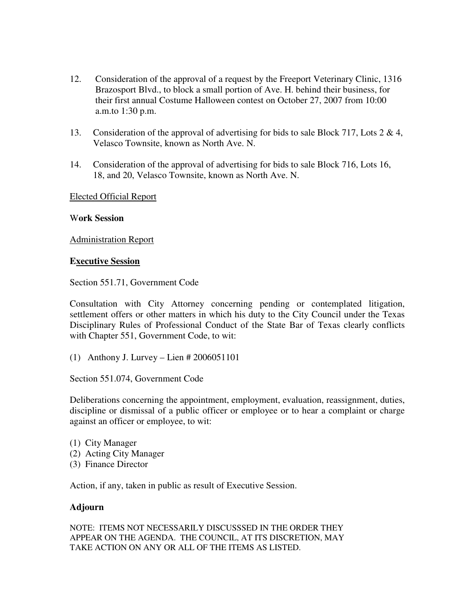- 12. Consideration of the approval of a request by the Freeport Veterinary Clinic, 1316 Brazosport Blvd., to block a small portion of Ave. H. behind their business, for their first annual Costume Halloween contest on October 27, 2007 from 10:00 a.m.to 1:30 p.m.
- 13. Consideration of the approval of advertising for bids to sale Block 717, Lots 2 & 4, Velasco Townsite, known as North Ave. N.
- 14. Consideration of the approval of advertising for bids to sale Block 716, Lots 16, 18, and 20, Velasco Townsite, known as North Ave. N.

Elected Official Report

#### W**ork Session**

Administration Report

#### **Executive Session**

Section 551.71, Government Code

Consultation with City Attorney concerning pending or contemplated litigation, settlement offers or other matters in which his duty to the City Council under the Texas Disciplinary Rules of Professional Conduct of the State Bar of Texas clearly conflicts with Chapter 551, Government Code, to wit:

(1) Anthony J. Lurvey – Lien # 2006051101

Section 551.074, Government Code

Deliberations concerning the appointment, employment, evaluation, reassignment, duties, discipline or dismissal of a public officer or employee or to hear a complaint or charge against an officer or employee, to wit:

- (1) City Manager (2) Acting City Manager
- (3) Finance Director

Action, if any, taken in public as result of Executive Session.

### **Adjourn**

NOTE: ITEMS NOT NECESSARILY DISCUSSSED IN THE ORDER THEY APPEAR ON THE AGENDA. THE COUNCIL, AT ITS DISCRETION, MAY TAKE ACTION ON ANY OR ALL OF THE ITEMS AS LISTED.